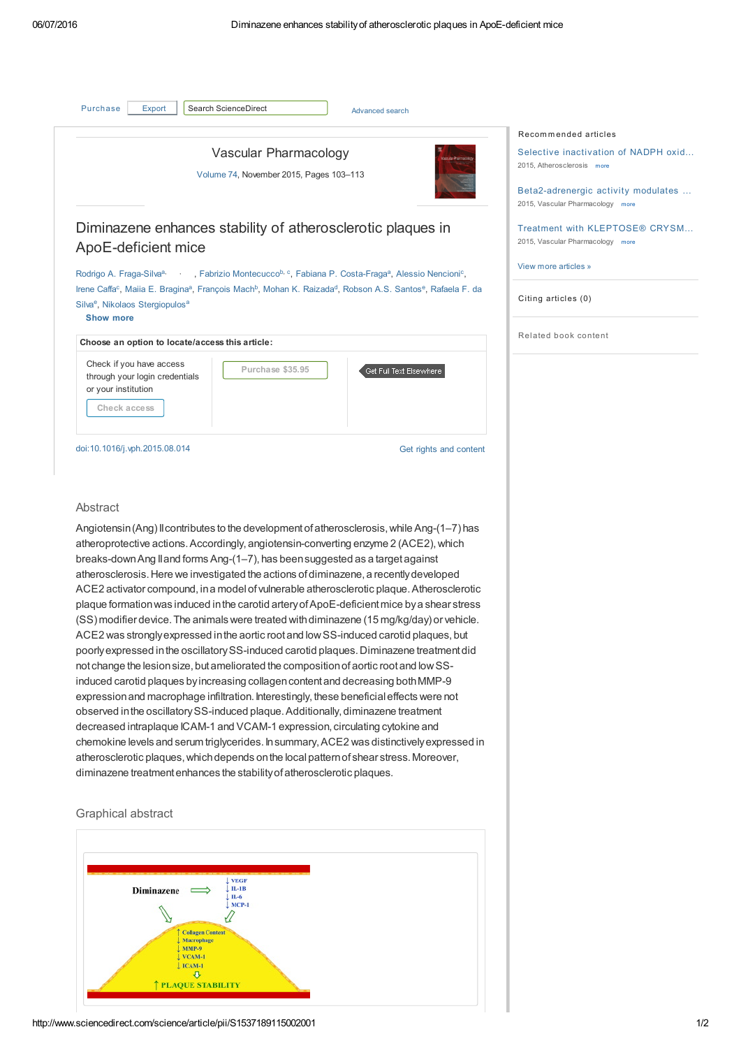| Purchase<br>Search ScienceDirect<br>Export                                                        | Advanced search                                                                                                                                                                                                                                                                                                               |                                                                                                                                                                       |
|---------------------------------------------------------------------------------------------------|-------------------------------------------------------------------------------------------------------------------------------------------------------------------------------------------------------------------------------------------------------------------------------------------------------------------------------|-----------------------------------------------------------------------------------------------------------------------------------------------------------------------|
| Vascular Pharmacology<br>dar Pharmacolog<br>Volume 74, November 2015, Pages 103-113               |                                                                                                                                                                                                                                                                                                                               | Recommended articles<br>Selective inactivation of NADPH oxid<br>2015, Atherosclerosis more<br>Beta2-adrenergic activity modulates<br>2015, Vascular Pharmacology more |
| ApoE-deficient mice                                                                               | Diminazene enhances stability of atherosclerotic plaques in                                                                                                                                                                                                                                                                   | Treatment with KLEPTOSE® CRYSM<br>2015, Vascular Pharmacology more                                                                                                    |
| Silva <sup>e</sup> , Nikolaos Stergiopulos <sup>a</sup><br><b>Show more</b>                       | Rodrigo A. Fraga-Silva <sup>a,</sup> , Fabrizio Montecucco <sup>b, c</sup> , Fabiana P. Costa-Fraga <sup>a</sup> , Alessio Nencioni <sup>c</sup> ,<br>Irene Caffa <sup>c</sup> , Maiia E. Bragina <sup>a</sup> , François Mach <sup>b</sup> , Mohan K. Raizada <sup>d</sup> , Robson A.S. Santos <sup>e</sup> , Rafaela F. da | View more articles »<br>Citing articles (0)                                                                                                                           |
| Choose an option to locate/access this article:                                                   |                                                                                                                                                                                                                                                                                                                               | Related book content                                                                                                                                                  |
| Check if you have access<br>through your login credentials<br>or your institution<br>Check access | Purchase \$35.95<br>Get Full Text Elsewhere                                                                                                                                                                                                                                                                                   |                                                                                                                                                                       |
| doi:10.1016/j.vph.2015.08.014                                                                     | Get rights and content                                                                                                                                                                                                                                                                                                        |                                                                                                                                                                       |
|                                                                                                   |                                                                                                                                                                                                                                                                                                                               |                                                                                                                                                                       |

Angiotensin (Ang) II contributes to the development of atherosclerosis, while Ang-(1–7) has atheroprotective actions. Accordingly, angiotensin-converting enzyme 2 (ACE2), which breaks-down Ang II and forms Ang-(1–7), has been suggested as a target against atherosclerosis. Here we investigated the actions of diminazene, a recently developed ACE2 activator compound, in a model of vulnerable atherosclerotic plaque. Atherosclerotic plaque formationwas induced inthe carotid arteryofApoE-deficientmice bya shear stress (SS) modifier device.The animals were treated withdiminazene (15 mg/kg/day) or vehicle. ACE2 was strongly expressed in the aortic root and low SS-induced carotid plaques, but poorlyexpressed inthe oscillatorySS-induced carotid plaques.Diminazene treatmentdid not change the lesion size, but ameliorated the composition of aortic root and low SSinduced carotid plaques byincreasing collagencontentand decreasing bothMMP-9 expressionand macrophage infiltration. Interestingly, these beneficialeffects were not observed in the oscillatory SS-induced plaque. Additionally, diminazene treatment decreased intraplaque ICAM-1 and VCAM-1 expression, circulating cytokine and chemokine levels and serum triglycerides. Insummary,ACE2 was distinctivelyexpressed in atherosclerotic plaques, which depends on the local pattern of shear stress. Moreover, diminazene treatment enhances the stability of atherosclerotic plaques.

## Graphical abstract